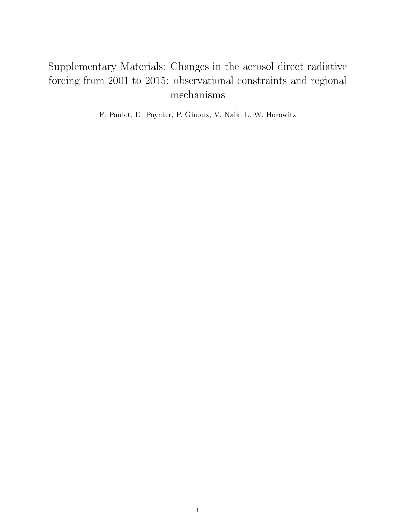## Supplementary Materials: Changes in the aerosol direct radiative forcing from 2001 to 2015: observational constraints and regional mechanisms

F. Paulot, D. Paynter, P. Ginoux, V. Naik, L. W. Horowitz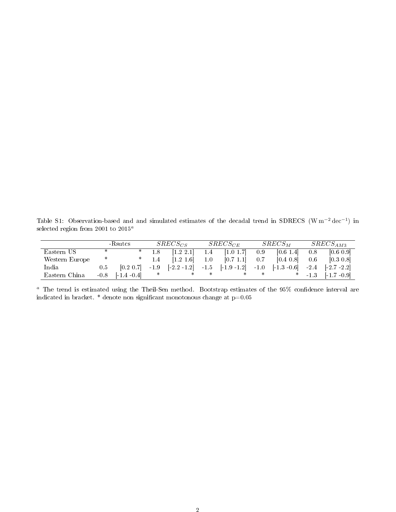Table S1: Observation-based and and simulated estimates of the decadal trend in SDRECS (W m<sup>-2</sup> dec<sup>-1</sup>) in selected region from 2001 to  $2015^a$ 

|                |        | -Rsutcs        |        | $SREG_{CS}$    |               | $SREG_{CE}$                  |     | $SREG_M$      |        | $SREG_{AM3}$                                                                                            |
|----------------|--------|----------------|--------|----------------|---------------|------------------------------|-----|---------------|--------|---------------------------------------------------------------------------------------------------------|
| Eastern US     | ∗      |                |        | [1.2 2.1]      | $1.4^{\circ}$ | [1.0 1.7]                    | 0.9 | [0.6 1.4]     | 0.8    | [0.6 0.9]                                                                                               |
| Western Europe | ∗      |                |        | [1.2 1.6]      | 1.0           | [0.7 1.1]                    | 0.7 | $[0.4 \ 0.8]$ | 0.6    | $ 0.3 \ 0.8 $                                                                                           |
| India          | 0.5    | [0.2 0.7]      | $-1.9$ | $[-2.2 - 1.2]$ |               | $-1.5$ $[-1.9 - 1.2]$ $-1.0$ |     |               |        | $\begin{bmatrix} 1 & 3 & -0 & 6 \end{bmatrix}$ $-2 & 4$ $\begin{bmatrix} -2 & 7 & -2 & 2 \end{bmatrix}$ |
| Eastern China  | $-0.8$ | $[-1.4 - 0.4]$ |        |                |               |                              |     |               | $-1.3$ | $[-1.7 - 0.9]$                                                                                          |

 $a$  The trend is estimated using the Theil-Sen method. Bootstrap estimates of the  $95\%$  confidence interval are indicated in bracket.  $^*$  denote non significant monotonous change at p=0.05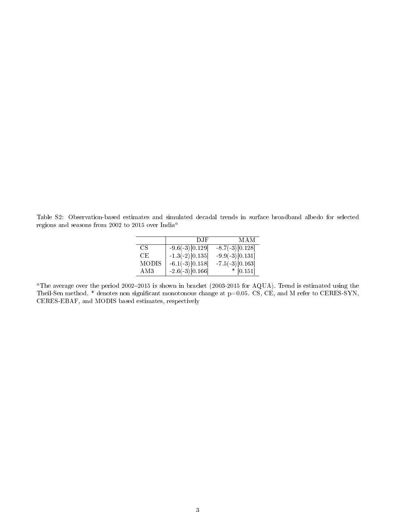Table S2: Observation-based estimates and simulated decadal trends in surface broadband albedo for selected regions and seasons from 2002 to 2015 over  $\mathit{India}^{a}$ 

|              | D.IF              | MAM               |
|--------------|-------------------|-------------------|
| CS           | $-9.6(-3)[0.129]$ | $-8.7(-3)[0.128]$ |
| CE.          | $-1.3(-2)[0.135]$ | $-9.9(-3)[0.131]$ |
| <b>MODIS</b> | $-6.1(-3)[0.158]$ | $-7.5(-3)[0.163]$ |
| AM3          | $-2.6(-3)[0.166]$ | $*$ [0.151]       |

<sup>a</sup>The average over the period 2002-2015 is shown in bracket (2003-2015 for AQUA). Trend is estimated using the Theil-Sen method. \* denotes non significant monotonous change at p=0.05. CS, CE, and M refer to CERES-SYN, CERES-EBAF, and MODIS based estimates, respectively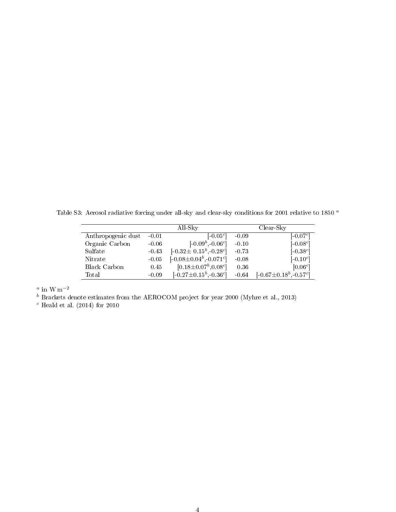Table S3: Aerosol radiative forcing under all-sky and clear-sky conditions for 2001 relative to 1850 <sup>a</sup>

|                    |         | All-Sky                        |         | Clear-Sky                     |
|--------------------|---------|--------------------------------|---------|-------------------------------|
| Anthropogenic dust | $-0.01$ | $[-0.05^c]$                    | $-0.09$ | $[-0.07^c]$                   |
| Organic Carbon     | $-0.06$ | $[-0.09^b, -0.06^c]$           | $-0.10$ | $[-0.08c]$                    |
| Sulfate            | $-0.43$ | $[-0.32 \pm 0.15^b, -0.28^c]$  | $-0.73$ | $[-0.38^c]$                   |
| Nitrate            | $-0.05$ | $[-0.08 \pm 0.04^b, -0.071^c]$ | $-0.08$ | $[-0.10^{c}]$                 |
| Black Carbon       | 0.45    | $[0.18 \pm 0.07^b, 0.08^c]$    | 0.36    | [0.06c]                       |
| Total              | $-0.09$ | $[-0.27 \pm 0.15^b, -0.36^c]$  | $-0.64$ | $[-0.67 \pm 0.18^b, -0.57^c]$ |

 $a$  in W m<sup>-2</sup>

 $b$  Brackets denote estimates from the AEROCOM project for year 2000 (Myhre et al., 2013)

 $c$  Heald et al. (2014) for 2010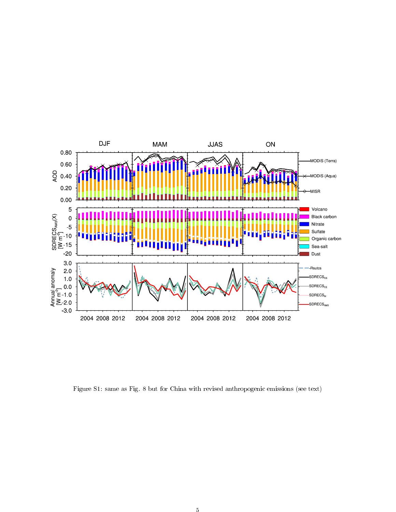

Figure S1: same as Fig. 8 but for China with revised anthropogenic emissions (see text)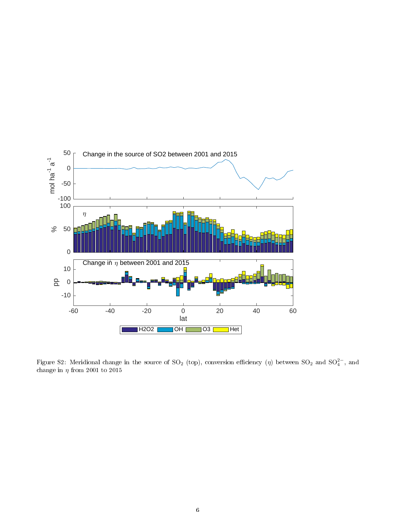

Figure S2: Meridional change in the source of SO<sub>2</sub> (top), conversion efficiency ( $\eta$ ) between SO<sub>2</sub> and SO<sup>2−</sup>, and change in  $\eta$  from 2001 to 2015